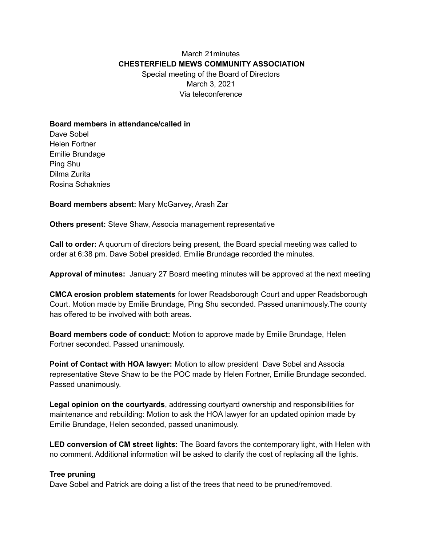## March 21minutes **CHESTERFIELD MEWS COMMUNITY ASSOCIATION** Special meeting of the Board of Directors March 3, 2021 Via teleconference

## **Board members in attendance/called in**

Dave Sobel Helen Fortner Emilie Brundage Ping Shu Dilma Zurita Rosina Schaknies

**Board members absent:** Mary McGarvey, Arash Zar

**Others present:** Steve Shaw, Associa management representative

**Call to order:** A quorum of directors being present, the Board special meeting was called to order at 6:38 pm. Dave Sobel presided. Emilie Brundage recorded the minutes.

**Approval of minutes:** January 27 Board meeting minutes will be approved at the next meeting

**CMCA erosion problem statements** for lower Readsborough Court and upper Readsborough Court. Motion made by Emilie Brundage, Ping Shu seconded. Passed unanimously.The county has offered to be involved with both areas.

**Board members code of conduct:** Motion to approve made by Emilie Brundage, Helen Fortner seconded. Passed unanimously.

**Point of Contact with HOA lawyer:** Motion to allow president Dave Sobel and Associa representative Steve Shaw to be the POC made by Helen Fortner, Emilie Brundage seconded. Passed unanimously.

**Legal opinion on the courtyards**, addressing courtyard ownership and responsibilities for maintenance and rebuilding: Motion to ask the HOA lawyer for an updated opinion made by Emilie Brundage, Helen seconded, passed unanimously.

**LED conversion of CM street lights:** The Board favors the contemporary light, with Helen with no comment. Additional information will be asked to clarify the cost of replacing all the lights.

## **Tree pruning**

Dave Sobel and Patrick are doing a list of the trees that need to be pruned/removed.